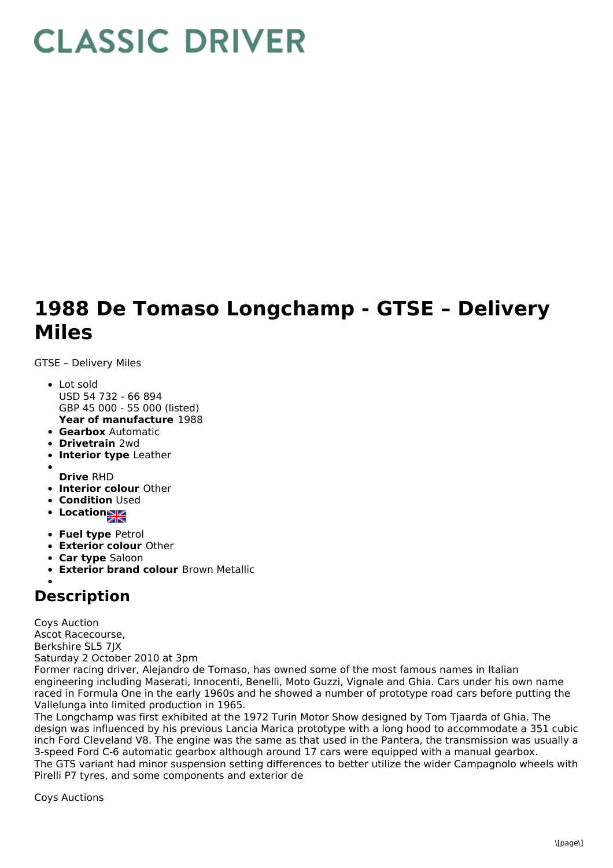## **CLASSIC DRIVER**

## **1988 De Tomaso Longchamp - GTSE – Delivery Miles**

GTSE – Delivery Miles

- **Year of manufacture** 1988 • Lot sold USD 54 732 - 66 894 GBP 45 000 - 55 000 (listed)
- **Gearbox** Automatic
- **Drivetrain** 2wd
- **Interior type** Leather
- **Drive** RHD
- **Interior colour** Other
- **Condition Used**
- **Location**
- **Fuel type** Petrol
- **Exterior colour** Other
- **Car type** Saloon
- **Exterior brand colour** Brown Metallic

## **Description**

Coys Auction Ascot Racecourse, Berkshire SL5 7JX Saturday 2 October 2010 at 3pm Former racing driver, Alejandro de Tomaso, has owned some of the most famous names in Italian

engineering including Maserati, Innocenti, Benelli, Moto Guzzi, Vignale and Ghia. Cars under his own name raced in Formula One in the early 1960s and he showed a number of prototype road cars before putting the Vallelunga into limited production in 1965.

The Longchamp was first exhibited at the 1972 Turin Motor Show designed by Tom Tjaarda of Ghia. The design was influenced by his previous Lancia Marica prototype with a long hood to accommodate a 351 cubic inch Ford Cleveland V8. The engine was the same as that used in the Pantera, the transmission was usually a 3-speed Ford C-6 automatic gearbox although around 17 cars were equipped with a manual gearbox. The GTS variant had minor suspension setting differences to better utilize the wider Campagnolo wheels with Pirelli P7 tyres, and some components and exterior de

Coys Auctions